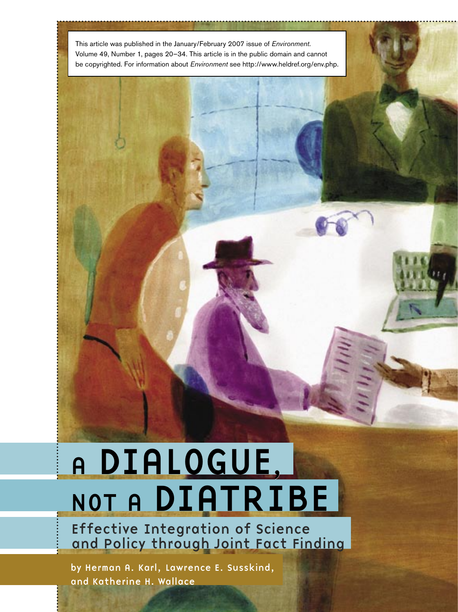This article was published in the January/February 2007 issue of Environment. Volume 49, Number 1, pages 20–34. This article is in the public domain and cannot be copyrighted. For information about Environment see http://www.heldref.org/env.php.

# A DIALOGUE, NOT A DIATRIBE

Effective Integration of Science and Policy through Joint Fact Finding

by Herman A. Karl, Lawrence E. Susskind, and Katherine H. Wallace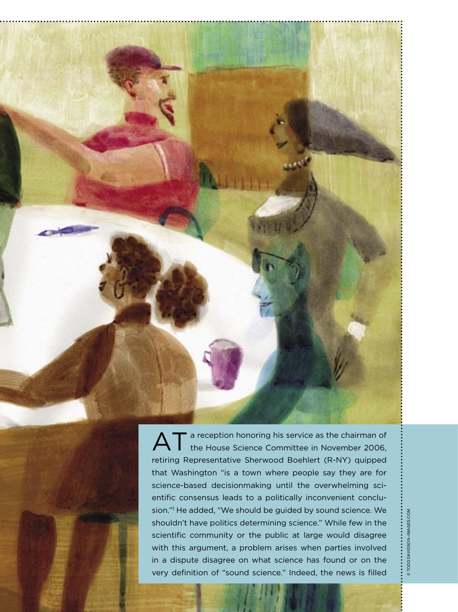AT a reception honoring his service as the chairman of<br>the House Science Committee in November 2006 the House Science Committee in November 2006, retiring Representative Sherwood Boehlert (R-NY) quipped that Washington "is a town where people say they are for science-based decisionmaking until the overwhelming scientific consensus leads to a politically inconvenient conclusion."1 He added, "We should be guided by sound science. We shouldn't have politics determining science." While few in the scientific community or the public at large would disagree with this argument, a problem arises when parties involved in a dispute disagree on what science has found or on the very definition of "sound science." Indeed, the news is filled

© TODD DAVIDSON—IMAGES.COM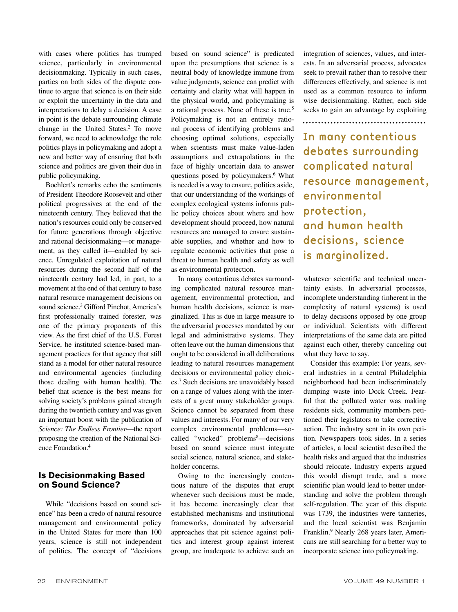with cases where politics has trumped science, particularly in environmental decisionmaking. Typically in such cases, parties on both sides of the dispute continue to argue that science is on their side or exploit the uncertainty in the data and interpretations to delay a decision. A case in point is the debate surrounding climate change in the United States.<sup>2</sup> To move forward, we need to acknowledge the role politics plays in policymaking and adopt a new and better way of ensuring that both science and politics are given their due in public policymaking.

Boehlert's remarks echo the sentiments of President Theodore Roosevelt and other political progressives at the end of the nineteenth century. They believed that the nation's resources could only be conserved for future generations through objective and rational decisionmaking—or management, as they called it—enabled by science. Unregulated exploitation of natural resources during the second half of the nineteenth century had led, in part, to a movement at the end of that century to base natural resource management decisions on sound science.3 Gifford Pinchot, America's first professionally trained forester, was one of the primary proponents of this view. As the first chief of the U.S. Forest Service, he instituted science-based management practices for that agency that still stand as a model for other natural resource and environmental agencies (including those dealing with human health). The belief that science is the best means for solving society's problems gained strength during the twentieth century and was given an important boost with the publication of *Science: The Endless Frontier*—the report proposing the creation of the National Science Foundation.4

#### **Is Decisionmaking Based on Sound Science?**

While "decisions based on sound science" has been a credo of natural resource management and environmental policy in the United States for more than 100 years, science is still not independent of politics. The concept of "decisions

based on sound science" is predicated upon the presumptions that science is a neutral body of knowledge immune from value judgments, science can predict with certainty and clarity what will happen in the physical world, and policymaking is a rational process. None of these is true.<sup>5</sup> Policymaking is not an entirely rational process of identifying problems and choosing optimal solutions, especially when scientists must make value-laden assumptions and extrapolations in the face of highly uncertain data to answer questions posed by policymakers.6 What is needed is a way to ensure, politics aside, that our understanding of the workings of complex ecological systems informs public policy choices about where and how development should proceed, how natural resources are managed to ensure sustainable supplies, and whether and how to regulate economic activities that pose a threat to human health and safety as well as environmental protection.

In many contentious debates surrounding complicated natural resource management, environmental protection, and human health decisions, science is marginalized. This is due in large measure to the adversarial processes mandated by our legal and administrative systems. They often leave out the human dimensions that ought to be considered in all deliberations leading to natural resources management decisions or environmental policy choices.7 Such decisions are unavoidably based on a range of values along with the interests of a great many stakeholder groups. Science cannot be separated from these values and interests. For many of our very complex environmental problems—socalled "wicked" problems<sup>8</sup>—decisions based on sound science must integrate social science, natural science, and stakeholder concerns.

Owing to the increasingly contentious nature of the disputes that erupt whenever such decisions must be made, it has become increasingly clear that established mechanisms and institutional frameworks, dominated by adversarial approaches that pit science against politics and interest group against interest group, are inadequate to achieve such an

integration of sciences, values, and interests. In an adversarial process, advocates seek to prevail rather than to resolve their differences effectively, and science is not used as a common resource to inform wise decisionmaking. Rather, each side seeks to gain an advantage by exploiting

In many contentious debates surrounding complicated natural resource management, environmental protection, and human health decisions, science is marginalized.

whatever scientific and technical uncertainty exists. In adversarial processes, incomplete understanding (inherent in the complexity of natural systems) is used to delay decisions opposed by one group or individual. Scientists with different interpretations of the same data are pitted against each other, thereby canceling out what they have to say.

Consider this example: For years, several industries in a central Philadelphia neighborhood had been indiscriminately dumping waste into Dock Creek. Fearful that the polluted water was making residents sick, community members petitioned their legislators to take corrective action. The industry sent in its own petition. Newspapers took sides. In a series of articles, a local scientist described the health risks and argued that the industries should relocate. Industry experts argued this would disrupt trade, and a more scientific plan would lead to better understanding and solve the problem through self-regulation. The year of this dispute was 1739, the industries were tanneries, and the local scientist was Benjamin Franklin.9 Nearly 268 years later, Americans are still searching for a better way to incorporate science into policymaking.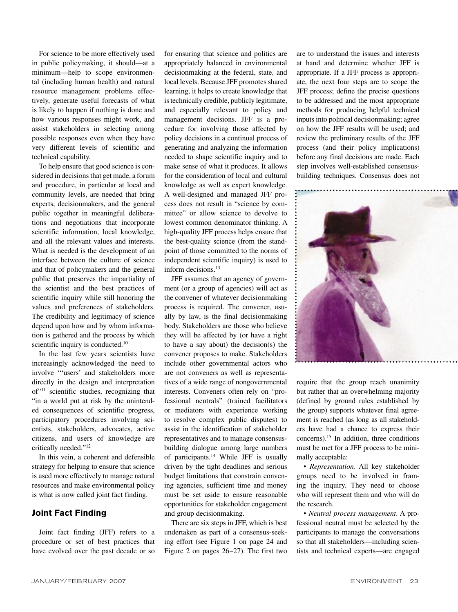For science to be more effectively used in public policymaking, it should—at a minimum—help to scope environmental (including human health) and natural resource management problems effectively, generate useful forecasts of what is likely to happen if nothing is done and how various responses might work, and assist stakeholders in selecting among possible responses even when they have very different levels of scientific and technical capability.

To help ensure that good science is considered in decisions that get made, a forum and procedure, in particular at local and community levels, are needed that bring experts, decisionmakers, and the general public together in meaningful deliberations and negotiations that incorporate scientific information, local knowledge, and all the relevant values and interests. What is needed is the development of an interface between the culture of science and that of policymakers and the general public that preserves the impartiality of the scientist and the best practices of scientific inquiry while still honoring the values and preferences of stakeholders. The credibility and legitimacy of science depend upon how and by whom information is gathered and the process by which scientific inquiry is conducted.<sup>10</sup>

In the last few years scientists have increasingly acknowledged the need to involve "'users' and stakeholders more directly in the design and interpretation of"11 scientific studies, recognizing that "in a world put at risk by the unintended consequences of scientific progress, participatory procedures involving scientists, stakeholders, advocates, active citizens, and users of knowledge are critically needed."12

In this vein, a coherent and defensible strategy for helping to ensure that science is used more effectively to manage natural resources and make environmental policy is what is now called joint fact finding.

#### **Joint Fact Finding**

Joint fact finding (JFF) refers to a procedure or set of best practices that have evolved over the past decade or so

for ensuring that science and politics are appropriately balanced in environmental decisionmaking at the federal, state, and local levels. Because JFF promotes shared learning, it helps to create knowledge that is technically credible, publicly legitimate, and especially relevant to policy and management decisions. JFF is a procedure for involving those affected by policy decisions in a continual process of generating and analyzing the information needed to shape scientific inquiry and to make sense of what it produces. It allows for the consideration of local and cultural knowledge as well as expert knowledge. A well-designed and managed JFF process does not result in "science by committee" or allow science to devolve to lowest common denominator thinking. A high-quality JFF process helps ensure that the best-quality science (from the standpoint of those committed to the norms of independent scientific inquiry) is used to inform decisions.13

JFF assumes that an agency of government (or a group of agencies) will act as the convener of whatever decisionmaking process is required. The convener, usually by law, is the final decisionmaking body. Stakeholders are those who believe they will be affected by (or have a right to have a say about) the decision(s) the convener proposes to make. Stakeholders include other governmental actors who are not conveners as well as representatives of a wide range of nongovernmental interests. Conveners often rely on "professional neutrals" (trained facilitators or mediators with experience working to resolve complex public disputes) to assist in the identification of stakeholder representatives and to manage consensusbuilding dialogue among large numbers of participants.14 While JFF is usually driven by the tight deadlines and serious budget limitations that constrain convening agencies, sufficient time and money must be set aside to ensure reasonable opportunities for stakeholder engagement and group decisionmaking.

There are six steps in JFF, which is best undertaken as part of a consensus-seeking effort (see Figure 1 on page 24 and Figure 2 on pages 26–27). The first two

are to understand the issues and interests at hand and determine whether JFF is appropriate. If a JFF process is appropriate, the next four steps are to scope the JFF process; define the precise questions to be addressed and the most appropriate methods for producing helpful technical inputs into political decisionmaking; agree on how the JFF results will be used; and review the preliminary results of the JFF process (and their policy implications) before any final decisions are made. Each step involves well-established consensusbuilding techniques. Consensus does not



require that the group reach unanimity but rather that an overwhelming majority (defined by ground rules established by the group) supports whatever final agreement is reached (as long as all stakeholders have had a chance to express their concerns).15 In addition, three conditions must be met for a JFF process to be minimally acceptable:

• *Representation*. All key stakeholder groups need to be involved in framing the inquiry. They need to choose who will represent them and who will do the research.

• *Neutral process management*. A professional neutral must be selected by the participants to manage the conversations so that all stakeholders—including scientists and technical experts—are engaged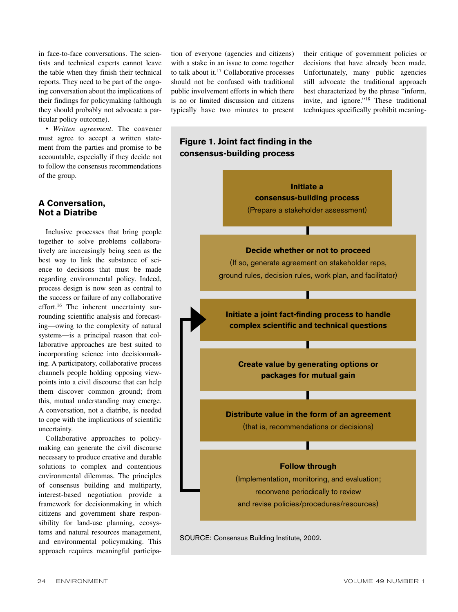in face-to-face conversations. The scientists and technical experts cannot leave the table when they finish their technical reports. They need to be part of the ongoing conversation about the implications of their findings for policymaking (although they should probably not advocate a particular policy outcome).

• *Written agreement*. The convener must agree to accept a written statement from the parties and promise to be accountable, especially if they decide not to follow the consensus recommendations of the group.

#### **A Conversation, Not a Diatribe**

Inclusive processes that bring people together to solve problems collaboratively are increasingly being seen as the best way to link the substance of science to decisions that must be made regarding environmental policy. Indeed, process design is now seen as central to the success or failure of any collaborative effort.<sup>16</sup> The inherent uncertainty surrounding scientific analysis and forecasting—owing to the complexity of natural systems—is a principal reason that collaborative approaches are best suited to incorporating science into decisionmaking. A participatory, collaborative process channels people holding opposing viewpoints into a civil discourse that can help them discover common ground; from this, mutual understanding may emerge. A conversation, not a diatribe, is needed to cope with the implications of scientific uncertainty.

Collaborative approaches to policymaking can generate the civil discourse necessary to produce creative and durable solutions to complex and contentious environmental dilemmas. The principles of consensus building and multiparty, interest-based negotiation provide a framework for decisionmaking in which citizens and government share responsibility for land-use planning, ecosystems and natural resources management, and environmental policymaking. This approach requires meaningful participation of everyone (agencies and citizens) with a stake in an issue to come together to talk about it.17 Collaborative processes should not be confused with traditional public involvement efforts in which there is no or limited discussion and citizens typically have two minutes to present their critique of government policies or decisions that have already been made. Unfortunately, many public agencies still advocate the traditional approach best characterized by the phrase "inform, invite, and ignore."18 These traditional techniques specifically prohibit meaning-



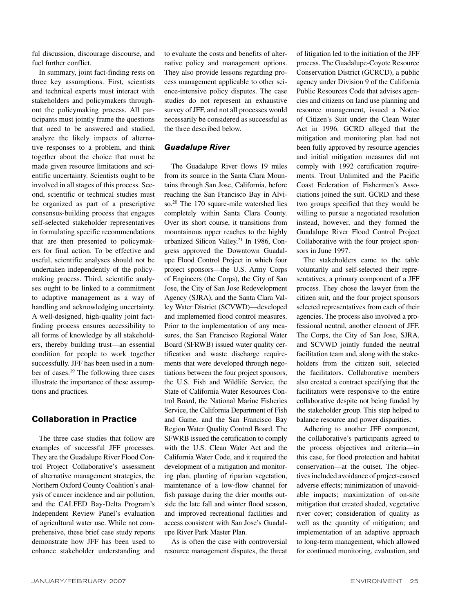ful discussion, discourage discourse, and fuel further conflict.

In summary, joint fact-finding rests on three key assumptions. First, scientists and technical experts must interact with stakeholders and policymakers throughout the policymaking process. All participants must jointly frame the questions that need to be answered and studied, analyze the likely impacts of alternative responses to a problem, and think together about the choice that must be made given resource limitations and scientific uncertainty. Scientists ought to be involved in all stages of this process. Second, scientific or technical studies must be organized as part of a prescriptive consensus-building process that engages self-selected stakeholder representatives in formulating specific recommendations that are then presented to policymakers for final action. To be effective and useful, scientific analyses should not be undertaken independently of the policymaking process. Third, scientific analyses ought to be linked to a commitment to adaptive management as a way of handling and acknowledging uncertainty. A well-designed, high-quality joint factfinding process ensures accessibility to all forms of knowledge by all stakeholders, thereby building trust—an essential condition for people to work together successfully. JFF has been used in a number of cases.19 The following three cases illustrate the importance of these assumptions and practices.

#### **Collaboration in Practice**

The three case studies that follow are examples of successful JFF processes. They are the Guadalupe River Flood Control Project Collaborative's assessment of alternative management strategies, the Northern Oxford County Coalition's analysis of cancer incidence and air pollution, and the CALFED Bay-Delta Program's Independent Review Panel's evaluation of agricultural water use. While not comprehensive, these brief case study reports demonstrate how JFF has been used to enhance stakeholder understanding and to evaluate the costs and benefits of alternative policy and management options. They also provide lessons regarding process management applicable to other science-intensive policy disputes. The case studies do not represent an exhaustive survey of JFF, and not all processes would necessarily be considered as successful as the three described below.

#### **Guadalupe River**

The Guadalupe River flows 19 miles from its source in the Santa Clara Mountains through San Jose, California, before reaching the San Francisco Bay in Alviso.20 The 170 square-mile watershed lies completely within Santa Clara County. Over its short course, it transitions from mountainous upper reaches to the highly urbanized Silicon Valley.<sup>21</sup> In 1986, Congress approved the Downtown Guadalupe Flood Control Project in which four project sponsors—the U.S. Army Corps of Engineers (the Corps), the City of San Jose, the City of San Jose Redevelopment Agency (SJRA), and the Santa Clara Valley Water District (SCVWD)—developed and implemented flood control measures. Prior to the implementation of any measures, the San Francisco Regional Water Board (SFRWB) issued water quality certification and waste discharge requirements that were developed through negotiations between the four project sponsors, the U.S. Fish and Wildlife Service, the State of California Water Resources Control Board, the National Marine Fisheries Service, the California Department of Fish and Game, and the San Francisco Bay Region Water Quality Control Board. The SFWRB issued the certification to comply with the U.S. Clean Water Act and the California Water Code, and it required the development of a mitigation and monitoring plan, planting of riparian vegetation, maintenance of a low-flow channel for fish passage during the drier months outside the late fall and winter flood season, and improved recreational facilities and access consistent with San Jose's Guadalupe River Park Master Plan.

As is often the case with controversial resource management disputes, the threat of litigation led to the initiation of the JFF process. The Guadalupe-Coyote Resource Conservation District (GCRCD), a public agency under Division 9 of the California Public Resources Code that advises agencies and citizens on land use planning and resource management, issued a Notice of Citizen's Suit under the Clean Water Act in 1996. GCRD alleged that the mitigation and monitoring plan had not been fully approved by resource agencies and initial mitigation measures did not comply with 1992 certification requirements. Trout Unlimited and the Pacific Coast Federation of Fishermen's Associations joined the suit. GCRD and these two groups specified that they would be willing to pursue a negotiated resolution instead, however, and they formed the Guadalupe River Flood Control Project Collaborative with the four project sponsors in June 1997.

The stakeholders came to the table voluntarily and self-selected their representatives, a primary component of a JFF process. They chose the lawyer from the citizen suit, and the four project sponsors selected representatives from each of their agencies. The process also involved a professional neutral, another element of JFF. The Corps, the City of San Jose, SJRA, and SCVWD jointly funded the neutral facilitation team and, along with the stakeholders from the citizen suit, selected the facilitators. Collaborative members also created a contract specifying that the facilitators were responsive to the entire collaborative despite not being funded by the stakeholder group. This step helped to balance resource and power disparities.

Adhering to another JFF component, the collaborative's participants agreed to the process objectives and criteria—in this case, for flood protection and habitat conservation—at the outset. The objectives included avoidance of project-caused adverse effects; minimization of unavoidable impacts; maximization of on-site mitigation that created shaded, vegetative river cover; consideration of quality as well as the quantity of mitigation; and implementation of an adaptive approach to long-term management, which allowed for continued monitoring, evaluation, and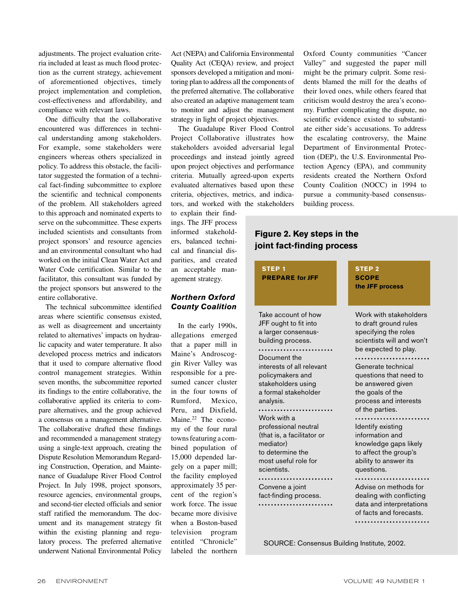adjustments. The project evaluation criteria included at least as much flood protection as the current strategy, achievement of aforementioned objectives, timely project implementation and completion, cost-effectiveness and affordability, and compliance with relevant laws.

One difficulty that the collaborative encountered was differences in technical understanding among stakeholders. For example, some stakeholders were engineers whereas others specialized in policy. To address this obstacle, the facilitator suggested the formation of a technical fact-finding subcommittee to explore the scientific and technical components of the problem. All stakeholders agreed to this approach and nominated experts to serve on the subcommittee. These experts included scientists and consultants from project sponsors' and resource agencies and an environmental consultant who had worked on the initial Clean Water Act and Water Code certification. Similar to the facilitator, this consultant was funded by the project sponsors but answered to the entire collaborative.

The technical subcommittee identified areas where scientific consensus existed, as well as disagreement and uncertainty related to alternatives' impacts on hydraulic capacity and water temperature. It also developed process metrics and indicators that it used to compare alternative flood control management strategies. Within seven months, the subcommittee reported its findings to the entire collaborative, the collaborative applied its criteria to compare alternatives, and the group achieved a consensus on a management alternative. The collaborative drafted these findings and recommended a management strategy using a single-text approach, creating the Dispute Resolution Memorandum Regarding Construction, Operation, and Maintenance of Guadalupe River Flood Control Project. In July 1998, project sponsors, resource agencies, environmental groups, and second-tier elected officials and senior staff ratified the memorandum. The document and its management strategy fit within the existing planning and regulatory process. The preferred alternative underwent National Environmental Policy

Act (NEPA) and California Environmental Quality Act (CEQA) review, and project sponsors developed a mitigation and monitoring plan to address all the components of the preferred alternative. The collaborative also created an adaptive management team to monitor and adjust the management strategy in light of project objectives.

The Guadalupe River Flood Control Project Collaborative illustrates how stakeholders avoided adversarial legal proceedings and instead jointly agreed upon project objectives and performance criteria. Mutually agreed-upon experts evaluated alternatives based upon these criteria, objectives, metrics, and indicators, and worked with the stakeholders

to explain their findings. The JFF process informed stakeholders, balanced technical and financial disparities, and created an acceptable management strategy.

#### **Northern Oxford County Coalition**

In the early 1990s, allegations emerged that a paper mill in Maine's Androscoggin River Valley was responsible for a presumed cancer cluster in the four towns of Rumford, Mexico, Peru, and Dixfield, Maine.<sup>22</sup> The economy of the four rural towns featuring a combined population of 15,000 depended largely on a paper mill; the facility employed approximately 35 percent of the region's work force. The issue became more divisive when a Boston-based television program entitled "Chronicle" labeled the northern

Oxford County communities "Cancer Valley" and suggested the paper mill might be the primary culprit. Some residents blamed the mill for the deaths of their loved ones, while others feared that criticism would destroy the area's economy. Further complicating the dispute, no scientific evidence existed to substantiate either side's accusations. To address the escalating controversy, the Maine Department of Environmental Protection (DEP), the U.S. Environmental Protection Agency (EPA), and community residents created the Northern Oxford County Coalition (NOCC) in 1994 to pursue a community-based consensusbuilding process.

#### **Figure 2. Key steps in the joint fact-finding process**

| STEP <sub>1</sub><br><b>PREPARE for JFF</b>                                                                                                                                                                                                           | <b>STEP 2</b><br><b>SCOPE</b><br>the JFF process                                                                                  |
|-------------------------------------------------------------------------------------------------------------------------------------------------------------------------------------------------------------------------------------------------------|-----------------------------------------------------------------------------------------------------------------------------------|
| Take account of how<br>JFF ought to fit into<br>a larger consensus-<br>building process.<br>Document the                                                                                                                                              | Work with stakeholders<br>to draft ground rules<br>specifying the roles<br>scientists will and won't<br>be expected to play.      |
| interests of all relevant<br>policymakers and<br>stakeholders using<br>a formal stakeholder<br>analysis.<br>Work with a<br>professional neutral<br>(that is, a facilitator or<br>mediator)<br>to determine the<br>most useful role for<br>scientists. | Generate technical<br>questions that need to<br>be answered given<br>the goals of the<br>process and interests<br>of the parties. |
|                                                                                                                                                                                                                                                       | Identify existing<br>information and<br>knowledge gaps likely<br>to affect the group's<br>ability to answer its<br>questions.     |
| Convene a joint<br>fact-finding process.                                                                                                                                                                                                              | Advise on methods for<br>dealing with conflicting<br>data and interpretations<br>of facts and forecasts.<br>.                     |

SOURCE: Consensus Building Institute, 2002.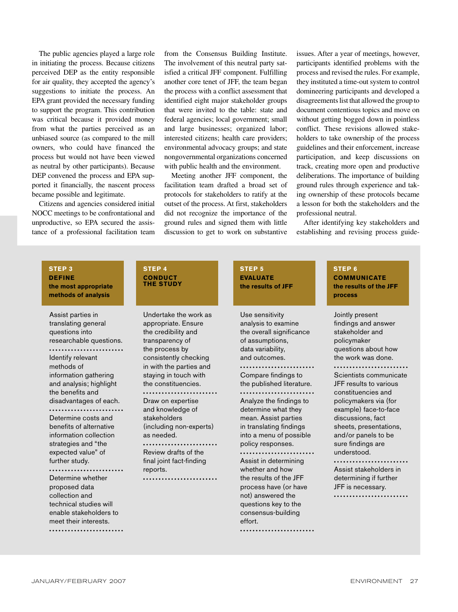The public agencies played a large role in initiating the process. Because citizens perceived DEP as the entity responsible for air quality, they accepted the agency's suggestions to initiate the process. An EPA grant provided the necessary funding to support the program. This contribution was critical because it provided money from what the parties perceived as an unbiased source (as compared to the mill owners, who could have financed the process but would not have been viewed as neutral by other participants). Because DEP convened the process and EPA supported it financially, the nascent process became possible and legitimate.

Citizens and agencies considered initial NOCC meetings to be confrontational and unproductive, so EPA secured the assistance of a professional facilitation team from the Consensus Building Institute. The involvement of this neutral party satisfied a critical JFF component. Fulfilling another core tenet of JFF, the team began the process with a conflict assessment that identified eight major stakeholder groups that were invited to the table: state and federal agencies; local government; small and large businesses; organized labor; interested citizens; health care providers; environmental advocacy groups; and state nongovernmental organizations concerned with public health and the environment.

Meeting another JFF component, the facilitation team drafted a broad set of protocols for stakeholders to ratify at the outset of the process. At first, stakeholders did not recognize the importance of the ground rules and signed them with little discussion to get to work on substantive issues. After a year of meetings, however, participants identified problems with the process and revised the rules. For example, they instituted a time-out system to control domineering participants and developed a disagreements list that allowed the group to document contentious topics and move on without getting bogged down in pointless conflict. These revisions allowed stakeholders to take ownership of the process guidelines and their enforcement, increase participation, and keep discussions on track, creating more open and productive deliberations. The importance of building ground rules through experience and taking ownership of these protocols became a lesson for both the stakeholders and the professional neutral.

After identifying key stakeholders and establishing and revising process guide-

#### **STEP 3 DEFINE**

**the most appropriate methods of analysis**

Assist parties in translating general questions into researchable questions. ...................... . Identify relevant methods of information gathering

and analysis; highlight the benefits and disadvantages of each.

........................ Determine costs and benefits of alternative information collection strategies and "the expected value" of further study.

................ Determine whether proposed data collection and technical studies will enable stakeholders to meet their interests. ...................... .

#### **STEP 4 CONDUCT THE STUDY**

Undertake the work as appropriate. Ensure the credibility and transparency of the process by consistently checking in with the parties and staying in touch with the constituencies. Draw on expertise and knowledge of stakeholders (including non-experts) as needed. ........................ Review drafts of the

final joint fact-finding

.................. .

reports.

#### **STEP 5 EVALUATE the results of JFF**

Use sensitivity analysis to examine the overall significance of assumptions, data variability, and outcomes. Compare findings to the published literature. Analyze the findings to determine what they mean. Assist parties in translating findings into a menu of possible policy responses. .......................

Assist in determining whether and how the results of the JFF process have (or have not) answered the questions key to the consensus-building effort.

...................... .

#### **STEP 6 COMMUNICATE the results of the JFF process**

Jointly present findings and answer stakeholder and policymaker questions about how the work was done. ....................... Scientists communicate JFF results to various constituencies and policymakers via (for example) face-to-face discussions, fact sheets, presentations, and/or panels to be sure findings are understood. 

Assist stakeholders in determining if further JFF is necessary. ...............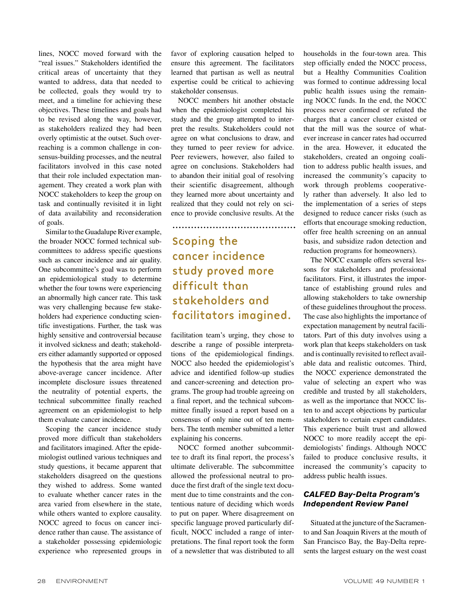lines, NOCC moved forward with the "real issues." Stakeholders identified the critical areas of uncertainty that they wanted to address, data that needed to be collected, goals they would try to meet, and a timeline for achieving these objectives. These timelines and goals had to be revised along the way, however, as stakeholders realized they had been overly optimistic at the outset. Such overreaching is a common challenge in consensus-building processes, and the neutral facilitators involved in this case noted that their role included expectation management. They created a work plan with NOCC stakeholders to keep the group on task and continually revisited it in light of data availability and reconsideration of goals.

Similar to the Guadalupe River example, the broader NOCC formed technical subcommittees to address specific questions such as cancer incidence and air quality. One subcommittee's goal was to perform an epidemiological study to determine whether the four towns were experiencing an abnormally high cancer rate. This task was very challenging because few stakeholders had experience conducting scientific investigations. Further, the task was highly sensitive and controversial because it involved sickness and death; stakeholders either adamantly supported or opposed the hypothesis that the area might have above-average cancer incidence. After incomplete disclosure issues threatened the neutrality of potential experts, the technical subcommittee finally reached agreement on an epidemiologist to help them evaluate cancer incidence.

Scoping the cancer incidence study proved more difficult than stakeholders and facilitators imagined. After the epidemiologist outlined various techniques and study questions, it became apparent that stakeholders disagreed on the questions they wished to address. Some wanted to evaluate whether cancer rates in the area varied from elsewhere in the state, while others wanted to explore causality. NOCC agreed to focus on cancer incidence rather than cause. The assistance of a stakeholder possessing epidemiologic experience who represented groups in

favor of exploring causation helped to ensure this agreement. The facilitators learned that partisan as well as neutral expertise could be critical to achieving stakeholder consensus.

NOCC members hit another obstacle when the epidemiologist completed his study and the group attempted to interpret the results. Stakeholders could not agree on what conclusions to draw, and they turned to peer review for advice. Peer reviewers, however, also failed to agree on conclusions. Stakeholders had to abandon their initial goal of resolving their scientific disagreement, although they learned more about uncertainty and realized that they could not rely on science to provide conclusive results. At the

#### Scoping the cancer incidence study proved more difficult than stakeholders and facilitators imagined.

......................................

facilitation team's urging, they chose to describe a range of possible interpretations of the epidemiological findings. NOCC also heeded the epidemiologist's advice and identified follow-up studies and cancer-screening and detection programs. The group had trouble agreeing on a final report, and the technical subcommittee finally issued a report based on a consensus of only nine out of ten members. The tenth member submitted a letter explaining his concerns.

NOCC formed another subcommittee to draft its final report, the process's ultimate deliverable. The subcommittee allowed the professional neutral to produce the first draft of the single text document due to time constraints and the contentious nature of deciding which words to put on paper. Where disagreement on specific language proved particularly difficult, NOCC included a range of interpretations. The final report took the form of a newsletter that was distributed to all households in the four-town area. This step officially ended the NOCC process, but a Healthy Communities Coalition was formed to continue addressing local public health issues using the remaining NOCC funds. In the end, the NOCC process never confirmed or refuted the charges that a cancer cluster existed or that the mill was the source of whatever increase in cancer rates had occurred in the area. However, it educated the stakeholders, created an ongoing coalition to address public health issues, and increased the community's capacity to work through problems cooperatively rather than adversely. It also led to the implementation of a series of steps designed to reduce cancer risks (such as efforts that encourage smoking reduction, offer free health screening on an annual basis, and subsidize radon detection and reduction programs for homeowners).

The NOCC example offers several lessons for stakeholders and professional facilitators. First, it illustrates the importance of establishing ground rules and allowing stakeholders to take ownership of these guidelines throughout the process. The case also highlights the importance of expectation management by neutral facilitators. Part of this duty involves using a work plan that keeps stakeholders on task and is continually revisited to reflect available data and realistic outcomes. Third, the NOCC experience demonstrated the value of selecting an expert who was credible and trusted by all stakeholders, as well as the importance that NOCC listen to and accept objections by particular stakeholders to certain expert candidates. This experience built trust and allowed NOCC to more readily accept the epidemiologists' findings. Although NOCC failed to produce conclusive results, it increased the community's capacity to address public health issues.

#### **CALFED Bay-Delta Program's Independent Review Panel**

Situated at the juncture of the Sacramento and San Joaquin Rivers at the mouth of San Francisco Bay, the Bay-Delta represents the largest estuary on the west coast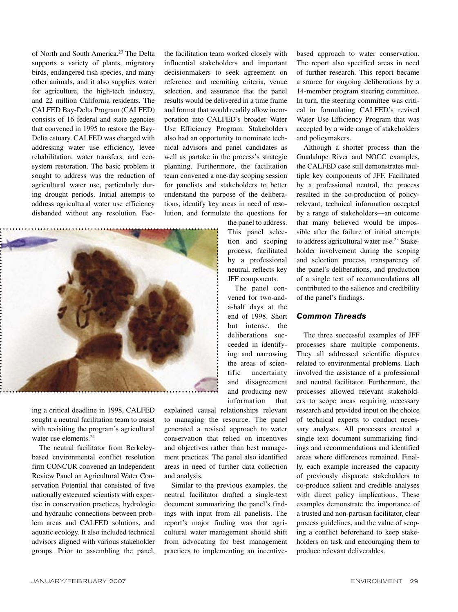of North and South America.23 The Delta supports a variety of plants, migratory birds, endangered fish species, and many other animals, and it also supplies water for agriculture, the high-tech industry, and 22 million California residents. The CALFED Bay-Delta Program (CALFED) consists of 16 federal and state agencies that convened in 1995 to restore the Bay-Delta estuary. CALFED was charged with addressing water use efficiency, levee rehabilitation, water transfers, and ecosystem restoration. The basic problem it sought to address was the reduction of agricultural water use, particularly during drought periods. Initial attempts to address agricultural water use efficiency disbanded without any resolution. Facthe facilitation team worked closely with influential stakeholders and important decisionmakers to seek agreement on reference and recruiting criteria, venue selection, and assurance that the panel results would be delivered in a time frame and format that would readily allow incorporation into CALFED's broader Water Use Efficiency Program. Stakeholders also had an opportunity to nominate technical advisors and panel candidates as well as partake in the process's strategic planning. Furthermore, the facilitation team convened a one-day scoping session for panelists and stakeholders to better understand the purpose of the deliberations, identify key areas in need of resolution, and formulate the questions for the panel to address.

> This panel selection and scoping process, facilitated by a professional neutral, reflects key JFF components. The panel convened for two-anda-half days at the end of 1998. Short but intense, the deliberations succeeded in identifying and narrowing the areas of scientific uncertainty and disagreement and producing new information that



ing a critical deadline in 1998, CALFED sought a neutral facilitation team to assist with revisiting the program's agricultural water use elements.<sup>24</sup>

The neutral facilitator from Berkeleybased environmental conflict resolution firm CONCUR convened an Independent Review Panel on Agricultural Water Conservation Potential that consisted of five nationally esteemed scientists with expertise in conservation practices, hydrologic and hydraulic connections between problem areas and CALFED solutions, and aquatic ecology. It also included technical advisors aligned with various stakeholder groups. Prior to assembling the panel, explained causal relationships relevant to managing the resource. The panel generated a revised approach to water conservation that relied on incentives and objectives rather than best management practices. The panel also identified areas in need of further data collection and analysis.

Similar to the previous examples, the neutral facilitator drafted a single-text document summarizing the panel's findings with input from all panelists. The report's major finding was that agricultural water management should shift from advocating for best management practices to implementing an incentivebased approach to water conservation. The report also specified areas in need of further research. This report became a source for ongoing deliberations by a 14-member program steering committee. In turn, the steering committee was critical in formulating CALFED's revised Water Use Efficiency Program that was accepted by a wide range of stakeholders and policymakers.

Although a shorter process than the Guadalupe River and NOCC examples, the CALFED case still demonstrates multiple key components of JFF. Facilitated by a professional neutral, the process resulted in the co-production of policyrelevant, technical information accepted by a range of stakeholders—an outcome that many believed would be impossible after the failure of initial attempts to address agricultural water use.25 Stakeholder involvement during the scoping and selection process, transparency of the panel's deliberations, and production of a single text of recommendations all contributed to the salience and credibility of the panel's findings.

#### **Common Threads**

The three successful examples of JFF processes share multiple components. They all addressed scientific disputes related to environmental problems. Each involved the assistance of a professional and neutral facilitator. Furthermore, the processes allowed relevant stakeholders to scope areas requiring necessary research and provided input on the choice of technical experts to conduct necessary analyses. All processes created a single text document summarizing findings and recommendations and identified areas where differences remained. Finally, each example increased the capacity of previously disparate stakeholders to co-produce salient and credible analyses with direct policy implications. These examples demonstrate the importance of a trusted and non-partisan facilitator, clear process guidelines, and the value of scoping a conflict beforehand to keep stakeholders on task and encouraging them to produce relevant deliverables.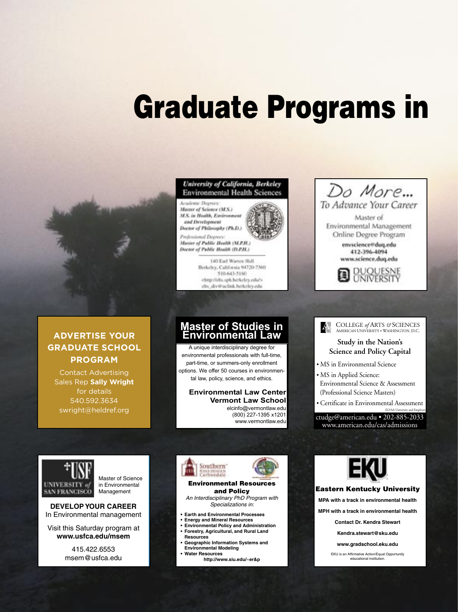## **Graduate Programs in**



**ADVERTISE YOUR** 

**GRADUATE SCHOOL** 

**PROGRAM** 

**Contact Advertising** 

Sales Rep Sally Wright

for details

540.592.3634

swright@heldref.org

<br/>http://chs.sph.betkeley.edu/> els divitaded bekeleveda

140 Earl Warren Hall Berkeley, California 94720-7360

510-643-5160

University of California, Berkeley

**Environmental Health Sciences** 

ic Depres Master of Science (M.S.) **M.S. in Health, Environment** 

and Development

Professional Deprees: Master of Public Health (M.P.H.)

Doctor of Philosophy (Ph.D.)

Doctor of Public Health (D.P.H.)

### **Master of Studies in<br>Environmental Law**

A unique interdisciplinary degree for environmental professionals with full-time, part-time, or summers-only enrollment options. We offer 50 courses in environmental law, policy, science, and ethics.

**Environmental Law Center Vermont Law School** elcinfo@vermontlaw.edu (800) 227-1395 x1201 www.vermontlaw.edu



COLLEGE of ARTS & SCIENCES AMERICAN UNIVERSITY . WASHINGTON, D.C.

#### Study in the Nation's Science and Policy Capital

- · MS in Environmental Science
- MS in Applied Science: Environmental Science & Assessment (Professional Science Masters)
- · Certificate in Environmental Assessment
	-

ctudge@american.edu . 202-885-2033 www.american.edu/cas/admissions



Management **DEVELOP YOUR CAREER** In Environmental management

Master of Science

in Environmental

Visit this Saturday program at

www.usfca.edu/msem

415.422.6553 msem@usfca.edu



An Interdisciplinary PhD Program with Specializations in:

- **Earth and Environmental Processes**
- Energy and Mineral Resources
- Environmental Policy and Administration Forestry, Agricultural, and Rural Land
- **Resources** Geographic Information Systems and **Environmental Modeling**
- **Water Resources**



#### **Eastern Kentucky University**

MPA with a track in environmental health

MPH with a track in environmental health

**Contact Dr. Kendra Stewart** 

Kendra.stewart@sku.edu

www.gradschool.eku.edu

**EKU** is an Affirmative Action/Equal Opportunity educational institution.

http://www.siu.edu/~er&p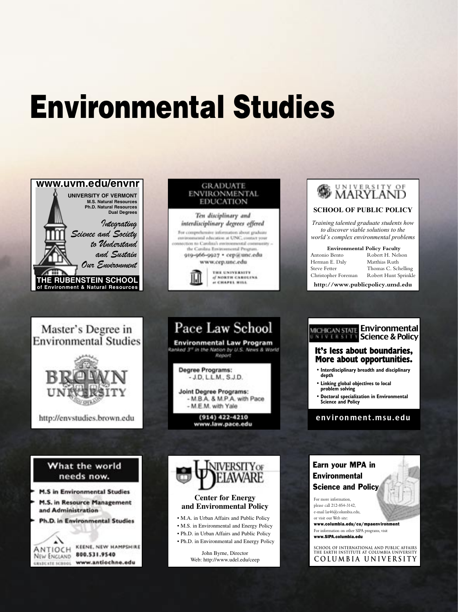# Environmental Studies

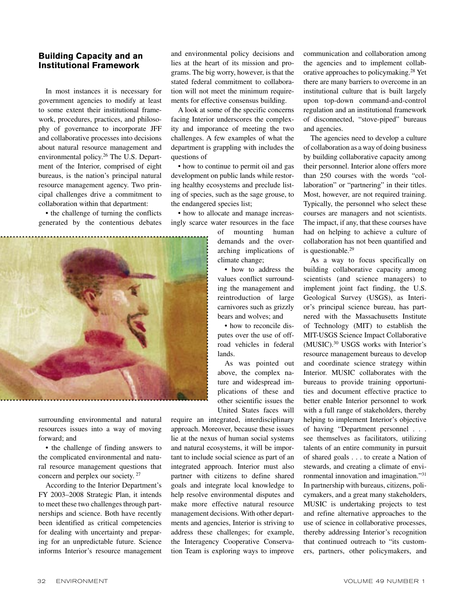#### **Building Capacity and an Institutional Framework**

In most instances it is necessary for government agencies to modify at least to some extent their institutional framework, procedures, practices, and philosophy of governance to incorporate JFF and collaborative processes into decisions about natural resource management and environmental policy.26 The U.S. Department of the Interior, comprised of eight bureaus, is the nation's principal natural resource management agency. Two principal challenges drive a commitment to collaboration within that department:

• the challenge of turning the conflicts generated by the contentious debates



surrounding environmental and natural resources issues into a way of moving forward; and

• the challenge of finding answers to the complicated environmental and natural resource management questions that concern and perplex our society. 27

According to the Interior Department's FY 2003–2008 Strategic Plan, it intends to meet these two challenges through partnerships and science. Both have recently been identified as critical competencies for dealing with uncertainty and preparing for an unpredictable future. Science informs Interior's resource management

and environmental policy decisions and lies at the heart of its mission and programs. The big worry, however, is that the stated federal commitment to collaboration will not meet the minimum requirements for effective consensus building.

A look at some of the specific concerns facing Interior underscores the complexity and imporance of meeting the two challenges. A few examples of what the department is grappling with includes the questions of

• how to continue to permit oil and gas development on public lands while restoring healthy ecosystems and preclude listing of species, such as the sage grouse, to the endangered species list;

• how to allocate and manage increasingly scarce water resources in the face

> of mounting human demands and the overarching implications of climate change;

• how to address the values conflict surrounding the management and reintroduction of large carnivores such as grizzly bears and wolves; and

• how to reconcile disputes over the use of offroad vehicles in federal lands.

As was pointed out above, the complex nature and widespread implications of these and other scientific issues the United States faces will

require an integrated, interdisciplinary approach. Moreover, because these issues lie at the nexus of human social systems and natural ecosystems, it will be important to include social science as part of an integrated approach. Interior must also partner with citizens to define shared goals and integrate local knowledge to help resolve environmental disputes and make more effective natural resource management decisions. With other departments and agencies, Interior is striving to address these challenges; for example, the Interagency Cooperative Conservation Team is exploring ways to improve

communication and collaboration among the agencies and to implement collaborative approaches to policymaking.28 Yet there are many barriers to overcome in an institutional culture that is built largely upon top-down command-and-control regulation and an institutional framework of disconnected, "stove-piped" bureaus and agencies.

The agencies need to develop a culture of collaboration as a way of doing business by building collaborative capacity among their personnel. Interior alone offers more than 250 courses with the words "collaboration" or "partnering" in their titles. Most, however, are not required training. Typically, the personnel who select these courses are managers and not scientists. The impact, if any, that these courses have had on helping to achieve a culture of collaboration has not been quantified and is questionable.<sup>29</sup>

As a way to focus specifically on building collaborative capacity among scientists (and science managers) to implement joint fact finding, the U.S. Geological Survey (USGS), as Interior's principal science bureau, has partnered with the Massachusetts Institute of Technology (MIT) to establish the MIT-USGS Science Impact Collaborative (MUSIC).30 USGS works with Interior's resource management bureaus to develop and coordinate science strategy within Interior. MUSIC collaborates with the bureaus to provide training opportunities and document effective practice to better enable Interior personnel to work with a full range of stakeholders, thereby helping to implement Interior's objective of having "Department personnel . . . see themselves as facilitators, utilizing talents of an entire community in pursuit of shared goals . . . to create a Nation of stewards, and creating a climate of environmental innovation and imagination."31 In partnership with bureaus, citizens, policymakers, and a great many stakeholders, MUSIC is undertaking projects to test and refine alternative approaches to the use of science in collaborative processes, thereby addressing Interior's recognition that continued outreach to "its customers, partners, other policymakers, and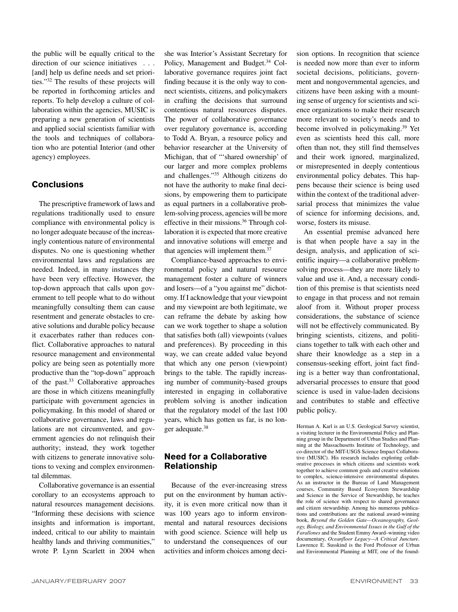the public will be equally critical to the direction of our science initiatives . . . [and] help us define needs and set priorities."32 The results of these projects will be reported in forthcoming articles and reports. To help develop a culture of collaboration within the agencies, MUSIC is preparing a new generation of scientists and applied social scientists familiar with the tools and techniques of collaboration who are potential Interior (and other agency) employees.

#### **Conclusions**

The prescriptive framework of laws and regulations traditionally used to ensure compliance with environmental policy is no longer adequate because of the increasingly contentious nature of environmental disputes. No one is questioning whether environmental laws and regulations are needed. Indeed, in many instances they have been very effective. However, the top-down approach that calls upon government to tell people what to do without meaningfully consulting them can cause resentment and generate obstacles to creative solutions and durable policy because it exacerbates rather than reduces conflict. Collaborative approaches to natural resource management and environmental policy are being seen as potentially more productive than the "top-down" approach of the past.33 Collaborative approaches are those in which citizens meaningfully participate with government agencies in policymaking. In this model of shared or collaborative governance, laws and regulations are not circumvented, and government agencies do not relinquish their authority; instead, they work together with citizens to generate innovative solutions to vexing and complex environmental dilemmas.

Collaborative governance is an essential corollary to an ecosystems approach to natural resources management decisions. "Informing these decisions with science insights and information is important, indeed, critical to our ability to maintain healthy lands and thriving communities," wrote P. Lynn Scarlett in 2004 when she was Interior's Assistant Secretary for Policy, Management and Budget.<sup>34</sup> Collaborative governance requires joint fact finding because it is the only way to connect scientists, citizens, and policymakers in crafting the decisions that surround contentious natural resources disputes. The power of collaborative governance over regulatory governance is, according to Todd A. Bryan, a resource policy and behavior researcher at the University of Michigan, that of "'shared ownership' of our larger and more complex problems and challenges."35 Although citizens do not have the authority to make final decisions, by empowering them to participate as equal partners in a collaborative problem-solving process, agencies will be more effective in their missions.36 Through collaboration it is expected that more creative and innovative solutions will emerge and that agencies will implement them.37

Compliance-based approaches to environmental policy and natural resource management foster a culture of winners and losers—of a "you against me" dichotomy. If I acknowledge that your viewpoint and my viewpoint are both legitimate, we can reframe the debate by asking how can we work together to shape a solution that satisfies both (all) viewpoints (values and preferences). By proceeding in this way, we can create added value beyond that which any one person (viewpoint) brings to the table. The rapidly increasing number of community-based groups interested in engaging in collaborative problem solving is another indication that the regulatory model of the last 100 years, which has gotten us far, is no longer adequate.38

#### **Need for a Collaborative Relationship**

Because of the ever-increasing stress put on the environment by human activity, it is even more critical now than it was 100 years ago to inform environmental and natural resources decisions with good science. Science will help us to understand the consequences of our activities and inform choices among decision options. In recognition that science is needed now more than ever to inform societal decisions, politicians, government and nongovernmental agencies, and citizens have been asking with a mounting sense of urgency for scientists and science organizations to make their research more relevant to society's needs and to become involved in policymaking.39 Yet even as scientists heed this call, more often than not, they still find themselves and their work ignored, marginalized, or misrepresented in deeply contentious environmental policy debates. This happens because their science is being used within the context of the traditional adversarial process that minimizes the value of science for informing decisions, and, worse, fosters its misuse.

An essential premise advanced here is that when people have a say in the design, analysis, and application of scientific inquiry—a collaborative problemsolving process—they are more likely to value and use it. And, a necessary condition of this premise is that scientists need to engage in that process and not remain aloof from it. Without proper process considerations, the substance of science will not be effectively communicated. By bringing scientists, citizens, and politicians together to talk with each other and share their knowledge as a step in a consensus-seeking effort, joint fact finding is a better way than confrontational, adversarial processes to ensure that good science is used in value-laden decisions and contributes to stable and effective public policy.

Herman A. Karl is an U.S. Geological Survey scientist, a visiting lecturer in the Environmental Policy and Planning group in the Department of Urban Studies and Planning at the Massachusetts Institute of Technology, and co-director of the MIT-USGS Science Impact Collaborative (MUSIC). His research includes exploring collaborative processes in which citizens and scientists work together to achieve common goals and creative solutions to complex, science-intensive environmental disputes. As an instructor in the Bureau of Land Management courses, Community Based Ecosystem Stewardship and Science in the Service of Stewardship, he teaches the role of science with respect to shared governance and citizen stewardship. Among his numerous publications and contributions are the national award-winning book, *Beyond the Golden Gate—Oceanography, Geology, Biology, and Environmental Issues in the Gulf of the Farallones* and the Student Emmy Award–winning video documentary, *Oceanfloor Legacy—A Critical Juncture*. Lawrence E. Susskind is the Ford Professor of Urban and Environmental Planning at MIT, one of the found